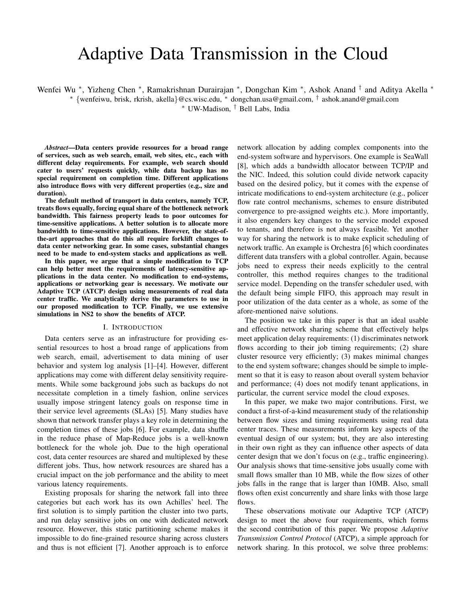# Adaptive Data Transmission in the Cloud

Wenfei Wu \*, Yizheng Chen \*, Ramakrishnan Durairajan \*, Dongchan Kim \*, Ashok Anand <sup>†</sup> and Aditya Akella \*

<sup>∗</sup> {wenfeiwu, brisk, rkrish, akella}@cs.wisc.edu, <sup>∗</sup> dongchan.usa@gmail.com, † ashok.anand@gmail.com

<sup>∗</sup> UW-Madison, † Bell Labs, India

*Abstract*—Data centers provide resources for a broad range of services, such as web search, email, web sites, etc., each with different delay requirements. For example, web search should cater to users' requests quickly, while data backup has no special requirement on completion time. Different applications also introduce flows with very different properties (e.g., size and duration).

The default method of transport in data centers, namely TCP, treats flows equally, forcing equal share of the bottleneck network bandwidth. This fairness property leads to poor outcomes for time-sensitive applications. A better solution is to allocate more bandwidth to time-sensitive applications. However, the state-ofthe-art approaches that do this all require forklift changes to data center networking gear. In some cases, substantial changes need to be made to end-system stacks and applications as well.

In this paper, we argue that a simple modification to TCP can help better meet the requirements of latency-sensitive applications in the data center. No modification to end-systems, applications or networking gear is necessary. We motivate our Adaptive TCP (ATCP) design using measurements of real data center traffic. We analytically derive the parameters to use in our proposed modification to TCP. Finally, we use extensive simulations in NS2 to show the benefits of ATCP.

# I. INTRODUCTION

Data centers serve as an infrastructure for providing essential resources to host a broad range of applications from web search, email, advertisement to data mining of user behavior and system log analysis [1]–[4]. However, different applications may come with different delay sensitivity requirements. While some background jobs such as backups do not necessitate completion in a timely fashion, online services usually impose stringent latency goals on response time in their service level agreements (SLAs) [5]. Many studies have shown that network transfer plays a key role in determining the completion times of these jobs [6]. For example, data shuffle in the reduce phase of Map-Reduce jobs is a well-known bottleneck for the whole job. Due to the high operational cost, data center resources are shared and multiplexed by these different jobs. Thus, how network resources are shared has a crucial impact on the job performance and the ability to meet various latency requirements.

Existing proposals for sharing the network fall into three categories but each work has its own Achilles' heel. The first solution is to simply partition the cluster into two parts, and run delay sensitive jobs on one with dedicated network resource. However, this static partitioning scheme makes it impossible to do fine-grained resource sharing across clusters and thus is not efficient [7]. Another approach is to enforce

network allocation by adding complex components into the end-system software and hypervisors. One example is SeaWall [8], which adds a bandwidth allocator between TCP/IP and the NIC. Indeed, this solution could divide network capacity based on the desired policy, but it comes with the expense of intricate modifications to end-system architecture (e.g., policer flow rate control mechanisms, schemes to ensure distributed convergence to pre-assigned weights etc.). More importantly, it also engenders key changes to the service model exposed to tenants, and therefore is not always feasible. Yet another way for sharing the network is to make explicit scheduling of network traffic. An example is Orchestra [6] which coordinates different data transfers with a global controller. Again, because jobs need to express their needs explicitly to the central controller, this method requires changes to the traditional service model. Depending on the transfer scheduler used, with the default being simple FIFO, this approach may result in poor utilization of the data center as a whole, as some of the afore-mentioned naive solutions.

The position we take in this paper is that an ideal usable and effective network sharing scheme that effectively helps meet application delay requirements: (1) discriminates network flows according to their job timing requirements; (2) share cluster resource very efficiently; (3) makes minimal changes to the end system software; changes should be simple to implement so that it is easy to reason about overall system behavior and performance; (4) does not modify tenant applications, in particular, the current service model the cloud exposes.

In this paper, we make two major contributions. First, we conduct a first-of-a-kind measurement study of the relationship between flow sizes and timing requirements using real data center traces. These measurements inform key aspects of the eventual design of our system; but, they are also interesting in their own right as they can influence other aspects of data center design that we don't focus on (e.g., traffic engineering). Our analysis shows that time-sensitive jobs usually come with small flows smaller than 10 MB, while the flow sizes of other jobs falls in the range that is larger than 10MB. Also, small flows often exist concurrently and share links with those large flows.

These observations motivate our Adaptive TCP (ATCP) design to meet the above four requirements, which forms the second contribution of this paper. We propose *Adaptive Transmission Control Protocol* (ATCP), a simple approach for network sharing. In this protocol, we solve three problems: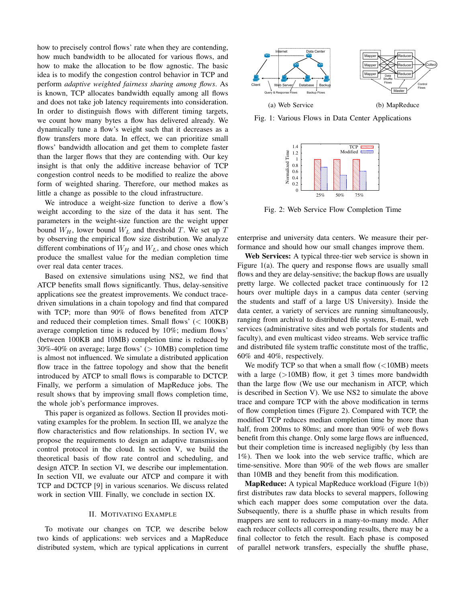how to precisely control flows' rate when they are contending, how much bandwidth to be allocated for various flows, and how to make the allocation to be flow agnostic. The basic idea is to modify the congestion control behavior in TCP and perform *adaptive weighted fairness sharing among flows*. As Tellent \ Web Server Database Backup is known, TCP allocates bandwidth equally among all flows and the sessions Flows Backup Flows and does not take job latency requirements into consideration. In order to distinguish flows with different timing targets, we count how many bytes a flow has delivered already. We dynamically tune a flow's weight such that it decreases as a flow transfers more data. In effect, we can prioritize small flows' bandwidth allocation and get them to complete faster than the larger flows that they are contending with. Our key insight is that only the additive increase behavior of TCP congestion control needs to be modified to realize the above form of weighted sharing. Therefore, our method makes as little a change as possible to the cloud infrastructure.

We introduce a weight-size function to derive a flow's weight according to the size of the data it has sent. The parameters in the weight-size function are the weight upper bound  $W_H$ , lower bound  $W_L$  and threshold T. We set up T by observing the empirical flow size distribution. We analyze different combinations of  $W_H$  and  $W_L$ , and chose ones which produce the smallest value for the median completion time over real data center traces.

Based on extensive simulations using NS2, we find that ATCP benefits small flows significantly. Thus, delay-sensitive applications see the greatest improvements. We conduct tracedriven simulations in a chain topology and find that compared with TCP; more than 90% of flows benefited from ATCP and reduced their completion times. Small flows'  $(< 100KB)$ average completion time is reduced by 10%; medium flows' (between 100KB and 10MB) completion time is reduced by 30%-40% on average; large flows' (> 10MB) completion time is almost not influenced. We simulate a distributed application flow trace in the fattree topology and show that the benefit introduced by ATCP to small flows is comparable to DCTCP. Finally, we perform a simulation of MapReduce jobs. The result shows that by improving small flows completion time, the whole job's performance improves.

This paper is organized as follows. Section II provides motivating examples for the problem. In section III, we analyze the flow characteristics and flow relationships. In section IV, we propose the requirements to design an adaptive transmission control protocol in the cloud. In section V, we build the theoretical basis of flow rate control and scheduling, and design ATCP. In section VI, we describe our implementation. In section VII, we evaluate our ATCP and compare it with TCP and DCTCP [9] in various scenarios. We discuss related work in section VIII. Finally, we conclude in section IX.

## II. MOTIVATING EXAMPLE

To motivate our changes on TCP, we describe below two kinds of applications: web services and a MapReduce distributed system, which are typical applications in current



Fig. 1: Various Flows in Data Center Applications



Fig. 2: Web Service Flow Completion Time

enterprise and university data centers. We measure their performance and should how our small changes improve them.

Web Services: A typical three-tier web service is shown in Figure 1(a). The query and response flows are usually small flows and they are delay-sensitive; the backup flows are usually pretty large. We collected packet trace continuously for 12 hours over multiple days in a campus data center (serving the students and staff of a large US University). Inside the data center, a variety of services are running simultaneously, ranging from archival to distributed file systems, E-mail, web services (administrative sites and web portals for students and faculty), and even multicast video streams. Web service traffic and distributed file system traffic constitute most of the traffic, 60% and 40%, respectively.

We modify TCP so that when a small flow  $(<10MB)$  meets with a large  $(>10MB)$  flow, it get 3 times more bandwidth than the large flow (We use our mechanism in ATCP, which is described in Section V). We use NS2 to simulate the above trace and compare TCP with the above modification in terms of flow completion times (Figure 2). Compared with TCP, the modified TCP reduces median completion time by more than half, from 200ms to 80ms; and more than 90% of web flows benefit from this change. Only some large flows are influenced, but their completion time is increased negligibly (by less than 1%). Then we look into the web service traffic, which are time-sensitive. More than 90% of the web flows are smaller than 10MB and they benefit from this modification.

MapReduce: A typical MapReduce workload (Figure 1(b)) first distributes raw data blocks to several mappers, following which each mapper does some computation over the data. Subsequently, there is a shuffle phase in which results from mappers are sent to reducers in a many-to-many mode. After each reducer collects all corresponding results, there may be a final collector to fetch the result. Each phase is composed of parallel network transfers, especially the shuffle phase,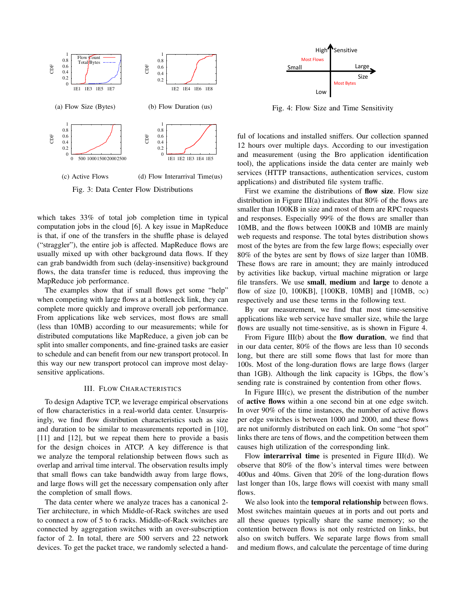

which takes 33% of total job completion time in typical computation jobs in the cloud [6]. A key issue in MapReduce is that, if one of the transfers in the shuffle phase is delayed ("straggler"), the entire job is affected. MapReduce flows are usually mixed up with other background data flows. If they can grab bandwidth from such (delay-insensitive) background flows, the data transfer time is reduced, thus improving the MapReduce job performance.

The examples show that if small flows get some "help" when competing with large flows at a bottleneck link, they can complete more quickly and improve overall job performance. From applications like web services, most flows are small (less than 10MB) according to our measurements; while for distributed computations like MapReduce, a given job can be split into smaller components, and fine-grained tasks are easier to schedule and can benefit from our new transport protocol. In this way our new transport protocol can improve most delaysensitive applications.

#### III. FLOW CHARACTERISTICS

To design Adaptive TCP, we leverage empirical observations of flow characteristics in a real-world data center. Unsurprisingly, we find flow distribution characteristics such as size and duration to be similar to measurements reported in [10], [11] and [12], but we repeat them here to provide a basis for the design choices in ATCP. A key difference is that we analyze the temporal relationship between flows such as overlap and arrival time interval. The observation results imply that small flows can take bandwidth away from large flows, and large flows will get the necessary compensation only after the completion of small flows.

The data center where we analyze traces has a canonical 2- Tier architecture, in which Middle-of-Rack switches are used to connect a row of 5 to 6 racks. Middle-of-Rack switches are connected by aggregation switches with an over-subscription factor of 2. In total, there are 500 servers and 22 network devices. To get the packet trace, we randomly selected a hand-



Fig. 4: Flow Size and Time Sensitivity

ful of locations and installed sniffers. Our collection spanned 12 hours over multiple days. According to our investigation and measurement (using the Bro application identification tool), the applications inside the data center are mainly web services (HTTP transactions, authentication services, custom applications) and distributed file system traffic.

First we examine the distributions of flow size. Flow size distribution in Figure III(a) indicates that 80% of the flows are smaller than 100KB in size and most of them are RPC requests and responses. Especially 99% of the flows are smaller than 10MB, and the flows between 100KB and 10MB are mainly web requests and response. The total bytes distribution shows most of the bytes are from the few large flows; especially over 80% of the bytes are sent by flows of size larger than 10MB. These flows are rare in amount; they are mainly introduced by activities like backup, virtual machine migration or large file transfers. We use small, medium and large to denote a flow of size [0, 100KB], [100KB, 10MB] and [10MB,  $\infty$ ) respectively and use these terms in the following text.

By our measurement, we find that most time-sensitive applications like web service have smaller size, while the large flows are usually not time-sensitive, as is shown in Figure 4.

From Figure III(b) about the **flow duration**, we find that in our data center, 80% of the flows are less than 10 seconds long, but there are still some flows that last for more than 100s. Most of the long-duration flows are large flows (larger than 1GB). Although the link capacity is 1Gbps, the flow's sending rate is constrained by contention from other flows.

In Figure III(c), we present the distribution of the number of active flows within a one second bin at one edge switch. In over 90% of the time instances, the number of active flows per edge switches is between 1000 and 2000, and these flows are not uniformly distributed on each link. On some "hot spot" links there are tens of flows, and the competition between them causes high utilization of the corresponding link.

Flow interarrival time is presented in Figure III(d). We observe that 80% of the flow's interval times were between 400us and 40ms. Given that 20% of the long-duration flows last longer than 10s, large flows will coexist with many small flows.

We also look into the temporal relationship between flows. Most switches maintain queues at in ports and out ports and all these queues typically share the same memory; so the contention between flows is not only restricted on links, but also on switch buffers. We separate large flows from small and medium flows, and calculate the percentage of time during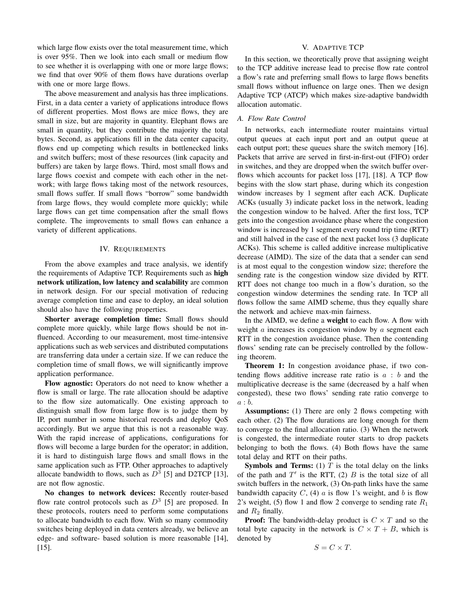which large flow exists over the total measurement time, which is over 95%. Then we look into each small or medium flow to see whether it is overlapping with one or more large flows; we find that over 90% of them flows have durations overlap with one or more large flows.

The above measurement and analysis has three implications. First, in a data center a variety of applications introduce flows of different properties. Most flows are mice flows, they are small in size, but are majority in quantity. Elephant flows are small in quantity, but they contribute the majority the total bytes. Second, as applications fill in the data center capacity, flows end up competing which results in bottlenecked links and switch buffers; most of these resources (link capacity and buffers) are taken by large flows. Third, most small flows and large flows coexist and compete with each other in the network; with large flows taking most of the network resources, small flows suffer. If small flows "borrow" some bandwidth from large flows, they would complete more quickly; while large flows can get time compensation after the small flows complete. The improvements to small flows can enhance a variety of different applications.

## IV. REQUIREMENTS

From the above examples and trace analysis, we identify the requirements of Adaptive TCP. Requirements such as **high** network utilization, low latency and scalability are common in network design. For our special motivation of reducing average completion time and ease to deploy, an ideal solution should also have the following properties.

Shorter average completion time: Small flows should complete more quickly, while large flows should be not influenced. According to our measurement, most time-intensive applications such as web services and distributed computations are transferring data under a certain size. If we can reduce the completion time of small flows, we will significantly improve application performance.

Flow agnostic: Operators do not need to know whether a flow is small or large. The rate allocation should be adaptive to the flow size automatically. One existing approach to distinguish small flow from large flow is to judge them by IP, port number in some historical records and deploy QoS accordingly. But we argue that this is not a reasonable way. With the rapid increase of applications, configurations for flows will become a large burden for the operator; in addition, it is hard to distinguish large flows and small flows in the same application such as FTP. Other approaches to adaptively allocate bandwidth to flows, such as  $D^3$  [5] and D2TCP [13], are not flow agnostic.

No changes to network devices: Recently router-based flow rate control protocols such as  $D^3$  [5] are proposed. In these protocols, routers need to perform some computations to allocate bandwidth to each flow. With so many commodity switches being deployed in data centers already, we believe an edge- and software- based solution is more reasonable [14], [15].

#### V. ADAPTIVE TCP

In this section, we theoretically prove that assigning weight to the TCP additive increase lead to precise flow rate control a flow's rate and preferring small flows to large flows benefits small flows without influence on large ones. Then we design Adaptive TCP (ATCP) which makes size-adaptive bandwidth allocation automatic.

# *A. Flow Rate Control*

In networks, each intermediate router maintains virtual output queues at each input port and an output queue at each output port; these queues share the switch memory [16]. Packets that arrive are served in first-in-first-out (FIFO) order in switches, and they are dropped when the switch buffer overflows which accounts for packet loss [17], [18]. A TCP flow begins with the slow start phase, during which its congestion window increases by 1 segment after each ACK. Duplicate ACKs (usually 3) indicate packet loss in the network, leading the congestion window to be halved. After the first loss, TCP gets into the congestion avoidance phase where the congestion window is increased by 1 segment every round trip time (RTT) and still halved in the case of the next packet loss (3 duplicate ACKs). This scheme is called additive increase multiplicative decrease (AIMD). The size of the data that a sender can send is at most equal to the congestion window size; therefore the sending rate is the congestion window size divided by RTT. RTT does not change too much in a flow's duration, so the congestion window determines the sending rate. In TCP all flows follow the same AIMD scheme, thus they equally share the network and achieve max-min fairness.

In the AIMD, we define a **weight** to each flow. A flow with weight  $a$  increases its congestion window by  $a$  segment each RTT in the congestion avoidance phase. Then the contending flows' sending rate can be precisely controlled by the following theorem.

Theorem 1: In congestion avoidance phase, if two contending flows additive increase rate ratio is  $a : b$  and the multiplicative decrease is the same (decreased by a half when congested), these two flows' sending rate ratio converge to  $a:b.$ 

Assumptions: (1) There are only 2 flows competing with each other. (2) The flow durations are long enough for them to converge to the final allocation ratio. (3) When the network is congested, the intermediate router starts to drop packets belonging to both the flows. (4) Both flows have the same total delay and RTT on their paths.

Symbols and Terms: (1)  $T$  is the total delay on the links of the path and  $T'$  is the RTT, (2)  $B$  is the total size of all switch buffers in the network, (3) On-path links have the same bandwidth capacity  $C$ , (4)  $\alpha$  is flow 1's weight, and  $\delta$  is flow 2's weight, (5) flow 1 and flow 2 converge to sending rate  $R_1$ and  $R_2$  finally.

**Proof:** The bandwidth-delay product is  $C \times T$  and so the total byte capacity in the network is  $C \times T + B$ , which is denoted by

$$
S = C \times T.
$$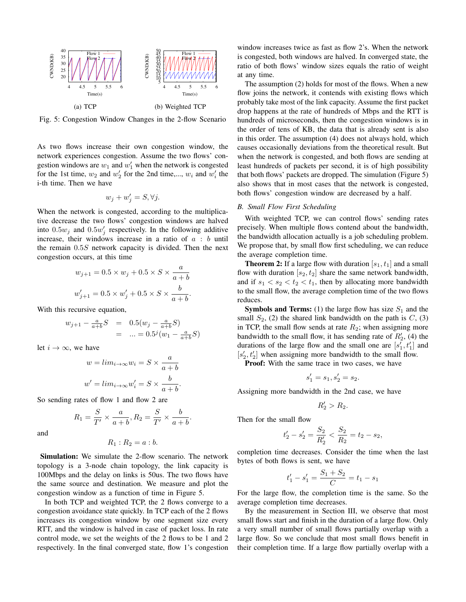

Fig. 5: Congestion Window Changes in the 2-flow Scenario

As two flows increase their own congestion window, the network experiences congestion. Assume the two flows' congestion windows are  $w_1$  and  $w'_1$  when the network is congested for the 1st time,  $w_2$  and  $w'_2$  for the 2nd time,...,  $w_i$  and  $w'_i$  the i-th time. Then we have

$$
w_j + w'_j = S, \forall j.
$$

When the network is congested, according to the multiplicative decrease the two flows' congestion windows are halved into  $0.5w_j$  and  $0.5w'_j$  respectively. In the following additive increase, their windows increase in a ratio of  $a : b$  until the remain 0.5S network capacity is divided. Then the next congestion occurs, at this time

$$
w_{j+1} = 0.5 \times w_j + 0.5 \times S \times \frac{a}{a+b}
$$
  

$$
w'_{j+1} = 0.5 \times w'_j + 0.5 \times S \times \frac{b}{a+b}.
$$

With this recursive equation,

$$
w_{j+1} - \frac{a}{a+b}S = 0.5(w_j - \frac{a}{a+b}S)
$$
  
= ... = 0.5<sup>j</sup>(w<sub>1</sub> - \frac{a}{a+b}S)

let  $i \to \infty$ , we have

$$
w = lim_{i \to \infty} w_i = S \times \frac{a}{a+b}
$$
  

$$
w' = lim_{i \to \infty} w'_i = S \times \frac{b}{a+b}.
$$

So sending rates of flow 1 and flow 2 are

$$
R_1 = \frac{S}{T'} \times \frac{a}{a+b}, R_2 = \frac{S}{T'} \times \frac{b}{a+b}.
$$

and

$$
R_1: R_2 = a:b.
$$

Simulation: We simulate the 2-flow scenario. The network topology is a 3-node chain topology, the link capacity is 100Mbps and the delay on links is 50us. The two flows have the same source and destination. We measure and plot the congestion window as a function of time in Figure 5.

In both TCP and weighted TCP, the 2 flows converge to a congestion avoidance state quickly. In TCP each of the 2 flows increases its congestion window by one segment size every RTT, and the window is halved in case of packet loss. In rate control mode, we set the weights of the 2 flows to be 1 and 2 respectively. In the final converged state, flow 1's congestion

window increases twice as fast as flow 2's. When the network is congested, both windows are halved. In converged state, the ratio of both flows' window sizes equals the ratio of weight at any time.

The assumption (2) holds for most of the flows. When a new flow joins the network, it contends with existing flows which probably take most of the link capacity. Assume the first packet drop happens at the rate of hundreds of Mbps and the RTT is hundreds of microseconds, then the congestion windows is in the order of tens of KB, the data that is already sent is also in this order. The assumption (4) does not always hold, which causes occasionally deviations from the theoretical result. But when the network is congested, and both flows are sending at least hundreds of packets per second, it is of high possibility that both flows' packets are dropped. The simulation (Figure 5) also shows that in most cases that the network is congested, both flows' congestion window are decreased by a half.

# *B. Small Flow First Scheduling*

With weighted TCP, we can control flows' sending rates precisely. When multiple flows contend about the bandwidth, the bandwidth allocation actually is a job scheduling problem. We propose that, by small flow first scheduling, we can reduce the average completion time.

**Theorem 2:** If a large flow with duration  $[s_1, t_1]$  and a small flow with duration  $[s_2, t_2]$  share the same network bandwidth, and if  $s_1 < s_2 < t_2 < t_1$ , then by allocating more bandwidth to the small flow, the average completion time of the two flows reduces.

**Symbols and Terms:** (1) the large flow has size  $S_1$  and the small  $S_2$ , (2) the shared link bandwidth on the path is  $C$ , (3) in TCP, the small flow sends at rate  $R_2$ ; when assigning more bandwidth to the small flow, it has sending rate of  $R'_2$ , (4) the durations of the large flow and the small one are  $[s'_1, t'_1]$  and  $[s'_2, t'_2]$  when assigning more bandwidth to the small flow.

Proof: With the same trace in two cases, we have

$$
s_1' = s_1, s_2' = s_2.
$$

Assigning more bandwidth in the 2nd case, we have

 $R'_2 > R_2.$ 

Then for the small flow

$$
t'_2 - s'_2 = \frac{S_2}{R'_2} < \frac{S_2}{R_2} = t_2 - s_2,
$$

completion time decreases. Consider the time when the last bytes of both flows is sent, we have

$$
t_1' - s_1' = \frac{S_1 + S_2}{C} = t_1 - s_1
$$

For the large flow, the completion time is the same. So the average completion time decreases.

By the measurement in Section III, we observe that most small flows start and finish in the duration of a large flow. Only a very small number of small flows partially overlap with a large flow. So we conclude that most small flows benefit in their completion time. If a large flow partially overlap with a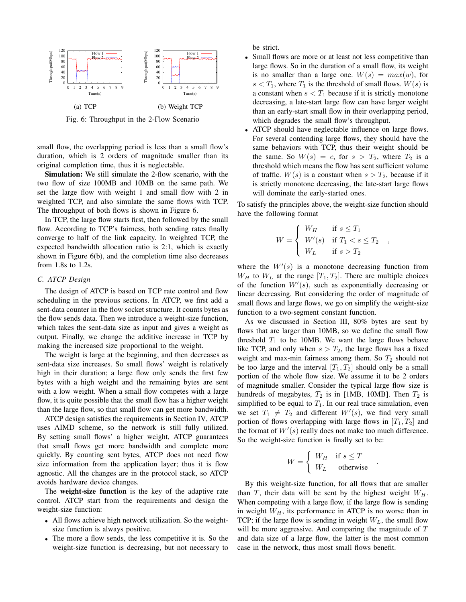

Fig. 6: Throughput in the 2-Flow Scenario

small flow, the overlapping period is less than a small flow's duration, which is 2 orders of magnitude smaller than its original completion time, thus it is neglectable.

Simulation: We still simulate the 2-flow scenario, with the two flow of size 100MB and 10MB on the same path. We set the large flow with weight 1 and small flow with 2 in weighted TCP, and also simulate the same flows with TCP. The throughput of both flows is shown in Figure 6.

In TCP, the large flow starts first, then followed by the small flow. According to TCP's fairness, both sending rates finally converge to half of the link capacity. In weighted TCP, the expected bandwidth allocation ratio is 2:1, which is exactly shown in Figure 6(b), and the completion time also decreases from 1.8s to 1.2s.

# *C. ATCP Design*

The design of ATCP is based on TCP rate control and flow scheduling in the previous sections. In ATCP, we first add a sent-data counter in the flow socket structure. It counts bytes as the flow sends data. Then we introduce a weight-size function, which takes the sent-data size as input and gives a weight as output. Finally, we change the additive increase in TCP by making the increased size proportional to the weight.

The weight is large at the beginning, and then decreases as sent-data size increases. So small flows' weight is relatively high in their duration; a large flow only sends the first few bytes with a high weight and the remaining bytes are sent with a low weight. When a small flow competes with a large flow, it is quite possible that the small flow has a higher weight than the large flow, so that small flow can get more bandwidth.

ATCP design satisfies the requirements in Section IV, ATCP uses AIMD scheme, so the network is still fully utilized. By setting small flows' a higher weight, ATCP guarantees that small flows get more bandwidth and complete more quickly. By counting sent bytes, ATCP does not need flow size information from the application layer; thus it is flow agnostic. All the changes are in the protocol stack, so ATCP avoids hardware device changes.

The weight-size function is the key of the adaptive rate control. ATCP start from the requirements and design the weight-size function:

- All flows achieve high network utilization. So the weightsize function is always positive.
- The more a flow sends, the less competitive it is. So the weight-size function is decreasing, but not necessary to

be strict.

- Small flows are more or at least not less competitive than large flows. So in the duration of a small flow, its weight is no smaller than a large one.  $W(s) = max(w)$ , for  $s < T_1$ , where  $T_1$  is the threshold of small flows.  $W(s)$  is a constant when  $s < T_1$  because if it is strictly monotone decreasing, a late-start large flow can have larger weight than an early-start small flow in their overlapping period, which degrades the small flow's throughput.
- ATCP should have neglectable influence on large flows. For several contending large flows, they should have the same behaviors with TCP, thus their weight should be the same. So  $W(s) = c$ , for  $s > T_2$ , where  $T_2$  is a threshold which means the flow has sent sufficient volume of traffic.  $W(s)$  is a constant when  $s > T_2$ , because if it is strictly monotone decreasing, the late-start large flows will dominate the early-started ones.

To satisfy the principles above, the weight-size function should have the following format

$$
W = \begin{cases} W_H & \text{if } s \le T_1 \\ W'(s) & \text{if } T_1 < s \le T_2 \\ W_L & \text{if } s > T_2 \end{cases}
$$

where the  $W'(s)$  is a monotone decreasing function from  $W_H$  to  $W_L$  at the range  $[T_1, T_2]$ . There are multiple choices of the function  $W'(s)$ , such as exponentially decreasing or linear decreasing. But considering the order of magnitude of small flows and large flows, we go on simplify the weight-size function to a two-segment constant function.

As we discussed in Section III, 80% bytes are sent by flows that are larger than 10MB, so we define the small flow threshold  $T_1$  to be 10MB. We want the large flows behave like TCP, and only when  $s > T_2$ , the large flows has a fixed weight and max-min fairness among them. So  $T_2$  should not be too large and the interval  $[T_1, T_2]$  should only be a small portion of the whole flow size. We assume it to be 2 orders of magnitude smaller. Consider the typical large flow size is hundreds of megabytes,  $T_2$  is in [1MB, 10MB]. Then  $T_2$  is simplified to be equal to  $T_1$ . In our real trace simulation, even we set  $T_1 \neq T_2$  and different  $W'(s)$ , we find very small portion of flows overlapping with large flows in  $[T_1, T_2]$  and the format of  $W'(s)$  really does not make too much difference. So the weight-size function is finally set to be:

$$
W = \begin{cases} W_H & \text{if } s \le T \\ W_L & \text{otherwise} \end{cases}
$$

.

By this weight-size function, for all flows that are smaller than T, their data will be sent by the highest weight  $W_H$ . When competing with a large flow, if the large flow is sending in weight  $W_H$ , its performance in ATCP is no worse than in TCP; if the large flow is sending in weight  $W_L$ , the small flow will be more aggressive. And comparing the magnitude of T and data size of a large flow, the latter is the most common case in the network, thus most small flows benefit.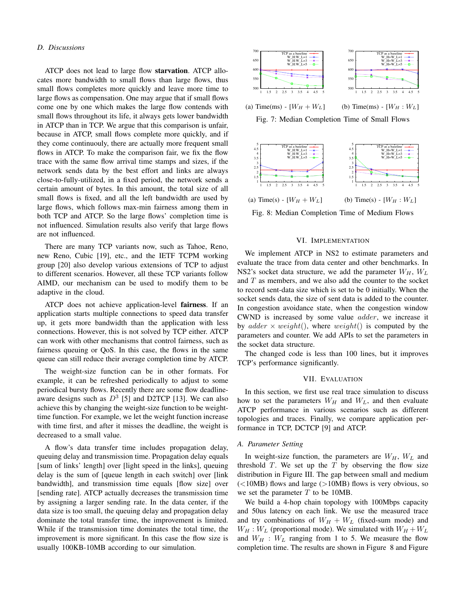### *D. Discussions*

ATCP does not lead to large flow starvation. ATCP allocates more bandwidth to small flows than large flows, thus small flows completes more quickly and leave more time to large flows as compensation. One may argue that if small flows come one by one which makes the large flow contends with small flows throughout its life, it always gets lower bandwidth in ATCP than in TCP. We argue that this comparison is unfair, because in ATCP, small flows complete more quickly, and if they come continuouly, there are actually more frequent small flows in ATCP. To make the comparison fair, we fix the flow trace with the same flow arrival time stamps and sizes, if the network sends data by the best effort and links are always close-to-fully-utilized, in a fixed period, the network sends a certain amount of bytes. In this amount, the total size of all small flows is fixed, and all the left bandwidth are used by large flows, which follows max-min fairness among them in both TCP and ATCP. So the large flows' completion time is not influenced. Simulation results also verify that large flows are not influenced.

There are many TCP variants now, such as Tahoe, Reno, new Reno, Cubic [19], etc., and the IETF TCPM working group [20] also develop various extensions of TCP to adjust to different scenarios. However, all these TCP variants follow AIMD, our mechanism can be used to modify them to be adaptive in the cloud.

ATCP does not achieve application-level fairness. If an application starts multiple connections to speed data transfer up, it gets more bandwidth than the application with less connections. However, this is not solved by TCP either. ATCP can work with other mechanisms that control fairness, such as fairness queuing or QoS. In this case, the flows in the same queue can still reduce their average completion time by ATCP.

The weight-size function can be in other formats. For example, it can be refreshed periodically to adjust to some periodical bursty flows. Recently there are some flow deadlineaware designs such as  $D^3$  [5] and D2TCP [13]. We can also achieve this by changing the weight-size function to be weighttime function. For example, we let the weight function increase with time first, and after it misses the deadline, the weight is decreased to a small value.

A flow's data transfer time includes propagation delay, queuing delay and transmission time. Propagation delay equals [sum of links' length] over [light speed in the links], queuing delay is the sum of [queue length in each switch] over [link bandwidth], and transmission time equals [flow size] over [sending rate]. ATCP actually decreases the transmission time by assigning a larger sending rate. In the data center, if the data size is too small, the queuing delay and propagation delay dominate the total transfer time, the improvement is limited. While if the transmission time dominates the total time, the improvement is more significant. In this case the flow size is usually 100KB-10MB according to our simulation.





Fig. 8: Median Completion Time of Medium Flows

## VI. IMPLEMENTATION

We implement ATCP in NS2 to estimate parameters and evaluate the trace from data center and other benchmarks. In NS2's socket data structure, we add the parameter  $W_H$ ,  $W_L$ and  $T$  as members, and we also add the counter to the socket to record sent-data size which is set to be 0 initially. When the socket sends data, the size of sent data is added to the counter. In congestion avoidance state, when the congestion window CWND is increased by some value adder, we increase it by adder  $\times$  weight(), where weight() is computed by the parameters and counter. We add APIs to set the parameters in the socket data structure.

The changed code is less than 100 lines, but it improves TCP's performance significantly.

#### VII. EVALUATION

In this section, we first use real trace simulation to discuss how to set the parameters  $W_H$  and  $W_L$ , and then evaluate ATCP performance in various scenarios such as different topologies and traces. Finally, we compare application performance in TCP, DCTCP [9] and ATCP.

## *A. Parameter Setting*

In weight-size function, the parameters are  $W_H$ ,  $W_L$  and threshold  $T$ . We set up the  $T$  by observing the flow size distribution in Figure III. The gap between small and medium  $(<10MB$ ) flows and large ( $>10MB$ ) flows is very obvious, so we set the parameter  $T$  to be 10MB.

We build a 4-hop chain topology with 100Mbps capacity and 50us latency on each link. We use the measured trace and try combinations of  $W_H + W_L$  (fixed-sum mode) and  $W_H$ :  $W_L$  (proportional mode). We simulated with  $W_H + W_L$ and  $W_H$  :  $W_L$  ranging from 1 to 5. We measure the flow completion time. The results are shown in Figure 8 and Figure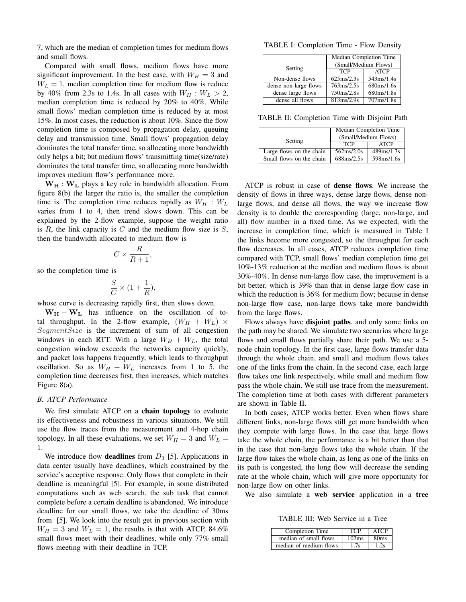7, which are the median of completion times for medium flows and small flows.

Compared with small flows, medium flows have more significant improvement. In the best case, with  $W_H = 3$  and  $W_L = 1$ , median completion time for medium flow is reduce by 40% from 2.3s to 1.4s. In all cases with  $W_H : W_L > 2$ , median completion time is reduced by 20% to 40%. While small flows' median completion time is reduced by at most 15%. In most cases, the reduction is about 10%. Since the flow completion time is composed by propagation delay, queuing delay and transmission time. Small flows' propagation delay dominates the total transfer time, so allocating more bandwidth only helps a bit; but medium flows' transmitting time(size/rate) dominates the total transfer time, so allocating more bandwidth improves medium flow's performance more.

 $W_H : W_L$  plays a key role in bandwidth allocation. From figure 8(b) the larger the ratio is, the smaller the completion time is. The completion time reduces rapidly as  $W_H : W_L$ varies from 1 to 4, then trend slows down. This can be explained by the 2-flow example, suppose the weight ratio is  $R$ , the link capacity is  $C$  and the medium flow size is  $S$ , then the bandwidth allocated to medium flow is

$$
C \times \frac{R}{R+1}
$$

,

so the completion time is

$$
\frac{S}{C} \times (1 + \frac{1}{R}),
$$

whose curve is decreasing rapidly first, then slows down.

 $W_H + W_L$  has influence on the oscillation of total throughput. In the 2-flow example,  $(W_H + W_L) \times$ Segment Size is the increment of sum of all congestion windows in each RTT. With a large  $W_H + W_L$ , the total congestion window exceeds the networks capacity quickly, and packet loss happens frequently, which leads to throughput oscillation. So as  $W_H + W_L$  increases from 1 to 5, the completion time decreases first, then increases, which matches Figure 8(a).

## *B. ATCP Performance*

We first simulate ATCP on a **chain topology** to evaluate its effectiveness and robustness in various situations. We still use the flow traces from the measurement and 4-hop chain topology. In all these evaluations, we set  $W_H = 3$  and  $W_L =$ 1.

We introduce flow **deadlines** from  $D_3$  [5]. Applications in data center usually have deadlines, which constrained by the service's acceptive response. Only flows that complete in their deadline is meaningful [5]. For example, in some distributed computations such as web search, the sub task that cannot complete before a certain deadline is abandoned. We introduce deadline for our small flows, we take the deadline of 30ms from [5]. We look into the result get in previous section with  $W_H = 3$  and  $W_L = 1$ , the results is that with ATCP, 84.6% small flows meet with their deadlines, while only 77% small flows meeting with their deadline in TCP.

TABLE I: Completion Time - Flow Density

|                       | Median Completion Time       |                              |
|-----------------------|------------------------------|------------------------------|
| Setting               | (Small/Medium Flows)         |                              |
|                       | <b>TCP</b>                   | <b>ATCP</b>                  |
| Non-dense flows       | $625 \text{ms}/2.3 \text{s}$ | 543ms/1.4s                   |
| dense non-large flows | $763 \text{ms}/2.5 \text{s}$ | 680ms/1.6s                   |
| dense large flows     | 750ms/2.8s                   | 680ms/1.8s                   |
| dense all flows       | $813 \text{ms}/2.9 \text{s}$ | $707 \text{ms}/1.8 \text{s}$ |

TABLE II: Completion Time with Disjoint Path

|                          | Median Completion Time       |                              |  |
|--------------------------|------------------------------|------------------------------|--|
| Setting                  | (Small/Medium Flows)         |                              |  |
|                          | TCP                          | <b>ATCP</b>                  |  |
| Large flows on the chain | $562 \text{ms}/2.0 \text{s}$ | $489 \text{ms}/1.3 \text{s}$ |  |
| Small flows on the chain | $688 \text{ms}/2.5 \text{s}$ | 598ms/1.6s                   |  |

ATCP is robust in case of dense flows. We increase the density of flows in three ways, dense large flows, dense nonlarge flows, and dense all flows, the way we increase flow density is to double the corresponding (large, non-large, and all) flow number in a fixed time. As we expected, with the increase in completion time, which is measured in Table I the links become more congested, so the throughput for each flow decreases. In all cases, ATCP reduces completion time compared with TCP, small flows' median completion time get 10%-13% reduction at the median and medium flows is about 30%-40%. In dense non-large flow case, the improvement is a bit better, which is 39% than that in dense large flow case in which the reduction is 36% for medium flow; because in dense non-large flow case, non-large flows take more bandwidth from the large flows.

Flows always have disjoint paths, and only some links on the path may be shared. We simulate two scenarios where large flows and small flows partially share their path. We use a 5 node chain topology. In the first case, large flows transfer data through the whole chain, and small and medium flows takes one of the links from the chain. In the second case, each large flow takes one link respectively, while small and medium flow pass the whole chain. We still use trace from the measurement. The completion time at both cases with different parameters are shown in Table II.

In both cases, ATCP works better. Even when flows share different links, non-large flows still get more bandwidth when they compete with large flows. In the case that large flows take the whole chain, the performance is a bit better than that in the case that non-large flows take the whole chain. If the large flow takes the whole chain, as long as one of the links on its path is congested, the long flow will decrease the sending rate at the whole chain, which will give more opportunity for non-large flow on other links.

We also simulate a **web service** application in a tree

TABLE III: Web Service in a Tree

| Completion Time        | <b>TCP</b> | <b>ATCP</b> |
|------------------------|------------|-------------|
| median of small flows  | 102ms      | 80ms        |
| median of medium flows | 1.7s       | 1.2s        |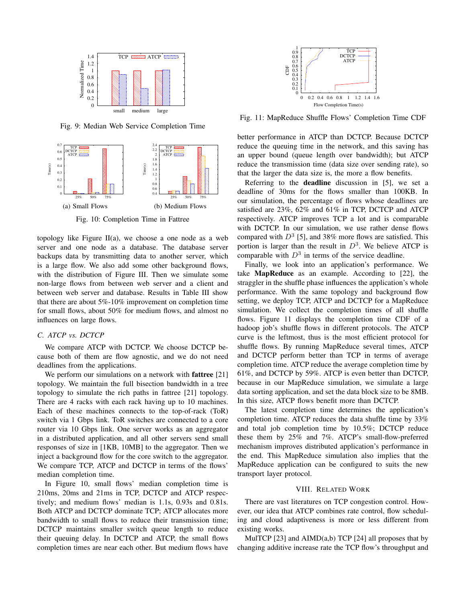

Fig. 9: Median Web Service Completion Time



Fig. 10: Completion Time in Fattree

topology like Figure II(a), we choose a one node as a web server and one node as a database. The database server backups data by transmitting data to another server, which is a large flow. We also add some other background flows, with the distribution of Figure III. Then we simulate some non-large flows from between web server and a client and between web server and database. Results in Table III show that there are about 5%-10% improvement on completion time for small flows, about 50% for medium flows, and almost no influences on large flows.

# *C. ATCP vs. DCTCP*

We compare ATCP with DCTCP. We choose DCTCP because both of them are flow agnostic, and we do not need deadlines from the applications.

We perform our simulations on a network with **fattree** [21] topology. We maintain the full bisection bandwidth in a tree topology to simulate the rich paths in fattree [21] topology. There are 4 racks with each rack having up to 10 machines. Each of these machines connects to the top-of-rack (ToR) switch via 1 Gbps link. ToR switches are connected to a core router via 10 Gbps link. One server works as an aggregator in a distributed application, and all other servers send small responses of size in [1KB, 10MB] to the aggregator. Then we inject a background flow for the core switch to the aggregator. We compare TCP, ATCP and DCTCP in terms of the flows' median completion time.

In Figure 10, small flows' median completion time is 210ms, 20ms and 21ms in TCP, DCTCP and ATCP respectively; and medium flows' median is 1.1s, 0.93s and 0.81s. Both ATCP and DCTCP dominate TCP; ATCP allocates more bandwidth to small flows to reduce their transmission time; DCTCP maintains smaller switch queue length to reduce their queuing delay. In DCTCP and ATCP, the small flows completion times are near each other. But medium flows have



Fig. 11: MapReduce Shuffle Flows' Completion Time CDF

better performance in ATCP than DCTCP. Because DCTCP reduce the queuing time in the network, and this saving has an upper bound (queue length over bandwidth); but ATCP reduce the transmission time (data size over sending rate), so that the larger the data size is, the more a flow benefits.

Referring to the deadline discussion in [5], we set a deadline of 30ms for the flows smaller than 100KB. In our simulation, the percentage of flows whose deadlines are satisfied are 23%, 62% and 61% in TCP, DCTCP and ATCP respectively. ATCP improves TCP a lot and is comparable with DCTCP. In our simulation, we use rather dense flows compared with  $D^3$  [5], and 38% more flows are satisfied. This portion is larger than the result in  $D^3$ . We believe ATCP is comparable with  $D^3$  in terms of the service deadline.

Finally, we look into an application's performance. We take MapReduce as an example. According to [22], the straggler in the shuffle phase influences the application's whole performance. With the same topology and background flow setting, we deploy TCP, ATCP and DCTCP for a MapReduce simulation. We collect the completion times of all shuffle flows. Figure 11 displays the completion time CDF of a hadoop job's shuffle flows in different protocols. The ATCP curve is the leftmost, thus is the most efficient protocol for shuffle flows. By running MapReduce several times, ATCP and DCTCP perform better than TCP in terms of average completion time. ATCP reduce the average completion time by 61%, and DCTCP by 59%. ATCP is even better than DCTCP, because in our MapReduce simulation, we simulate a large data sorting application, and set the data block size to be 8MB. In this size, ATCP flows benefit more than DCTCP.

The latest completion time determines the application's completion time. ATCP reduces the data shuffle time by 33% and total job completion time by 10.5%; DCTCP reduce these them by 25% and 7%. ATCP's small-flow-preferred mechanism improves distributed application's performance in the end. This MapReduce simulation also implies that the MapReduce application can be configured to suits the new transport layer protocol.

## VIII. RELATED WORK

There are vast literatures on TCP congestion control. However, our idea that ATCP combines rate control, flow scheduling and cloud adaptiveness is more or less different from existing works.

MulTCP  $[23]$  and AIMD $(a,b)$  TCP  $[24]$  all proposes that by changing additive increase rate the TCP flow's throughput and